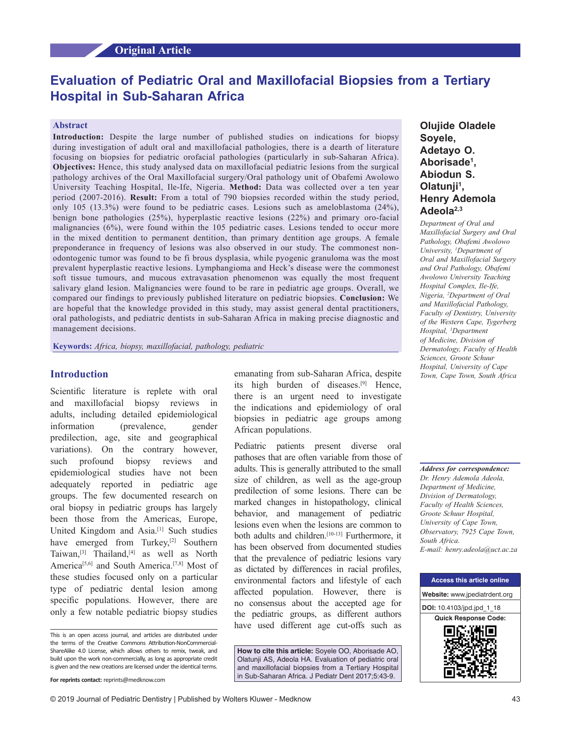# **Evaluation of Pediatric Oral and Maxillofacial Biopsies from a Tertiary Hospital in Sub‑Saharan Africa**

#### **Abstract**

**Introduction:** Despite the large number of published studies on indications for biopsy during investigation of adult oral and maxillofacial pathologies, there is a dearth of literature focusing on biopsies for pediatric orofacial pathologies (particularly in sub-Saharan Africa). **Objectives:** Hence, this study analysed data on maxillofacial pediatric lesions from the surgical pathology archives of the Oral Maxillofacial surgery/Oral pathology unit of Obafemi Awolowo University Teaching Hospital, Ile-Ife, Nigeria. **Method:** Data was collected over a ten year period (2007-2016). **Result:** From a total of 790 biopsies recorded within the study period, only 105 (13.3%) were found to be pediatric cases. Lesions such as ameloblastoma (24%), benign bone pathologies (25%), hyperplastic reactive lesions (22%) and primary oro-facial malignancies (6%), were found within the 105 pediatric cases. Lesions tended to occur more in the mixed dentition to permanent dentition, than primary dentition age groups. A female preponderance in frequency of lesions was also observed in our study. The commonest nonodontogenic tumor was found to be fi brous dysplasia, while pyogenic granuloma was the most prevalent hyperplastic reactive lesions. Lymphangioma and Heck's disease were the commonest soft tissue tumours, and mucous extravasation phenomenon was equally the most frequent salivary gland lesion. Malignancies were found to be rare in pediatric age groups. Overall, we compared our findings to previously published literature on pediatric biopsies. **Conclusion:** We are hopeful that the knowledge provided in this study, may assist general dental practitioners, oral pathologists, and pediatric dentists in sub-Saharan Africa in making precise diagnostic and management decisions.

**Keywords:** *Africa, biopsy, maxillofacial, pathology, pediatric*

## **Introduction**

Scientific literature is replete with oral and maxillofacial biopsy reviews in adults, including detailed epidemiological information (prevalence, gender predilection, age, site and geographical variations). On the contrary however, such profound biopsy reviews and epidemiological studies have not been adequately reported in pediatric age groups. The few documented research on oral biopsy in pediatric groups has largely been those from the Americas, Europe, United Kingdom and Asia.[1] Such studies have emerged from Turkey,<sup>[2]</sup> Southern Taiwan,<sup>[3]</sup> Thailand,<sup>[4]</sup> as well as North America<sup>[5,6]</sup> and South America.<sup>[7,8]</sup> Most of these studies focused only on a particular type of pediatric dental lesion among specific populations. However, there are only a few notable pediatric biopsy studies

emanating from sub‑Saharan Africa, despite its high burden of diseases.[9] Hence, there is an urgent need to investigate the indications and epidemiology of oral biopsies in pediatric age groups among African populations.

Pediatric patients present diverse oral pathoses that are often variable from those of adults. This is generally attributed to the small size of children, as well as the age-group predilection of some lesions. There can be marked changes in histopathology, clinical behavior, and management of pediatric lesions even when the lesions are common to both adults and children.<sup>[10-13]</sup> Furthermore, it has been observed from documented studies that the prevalence of pediatric lesions vary as dictated by differences in racial profiles, environmental factors and lifestyle of each affected population. However, there is no consensus about the accepted age for the pediatric groups, as different authors have used different age cut-offs such as

**How to cite this article:** Soyele OO, Aborisade AO, Olatunji AS, Adeola HA. Evaluation of pediatric oral and maxillofacial biopsies from a Tertiary Hospital in Sub-Saharan Africa. J Pediatr Dent 2017;5:43-9.

## **Olujide Oladele Soyele, Adetayo O. Aborisade1 , Abiodun S. Olatunji1 , Henry Ademola Adeola2,3**

*Department of Oral and Maxillofacial Surgery and Oral Pathology, Obafemi Awolowo University, 1 Department of Oral and Maxillofacial Surgery and Oral Pathology, Obafemi Awolowo University Teaching Hospital Complex, Ile‑Ife, Nigeria, 2 Department of Oral and Maxillofacial Pathology, Faculty of Dentistry, University of the Western Cape, Tygerberg Hospital, 3 Department of Medicine, Division of Dermatology, Faculty of Health Sciences, Groote Schuur Hospital, University of Cape Town, Cape Town, South Africa*

*Address for correspondence: Dr. Henry Ademola Adeola, Department of Medicine, Division of Dermatology, Faculty of Health Sciences, Groote Schuur Hospital, University of Cape Town, Observatory, 7925 Cape Town, South Africa. E‑mail: henry.adeola@uct.ac.za*



This is an open access journal, and articles are distributed under the terms of the Creative Commons Attribution-NonCommercial-ShareAlike 4.0 License, which allows others to remix, tweak, and build upon the work non-commercially, as long as appropriate credit is given and the new creations are licensed under the identical terms.

**For reprints contact:** reprints@medknow.com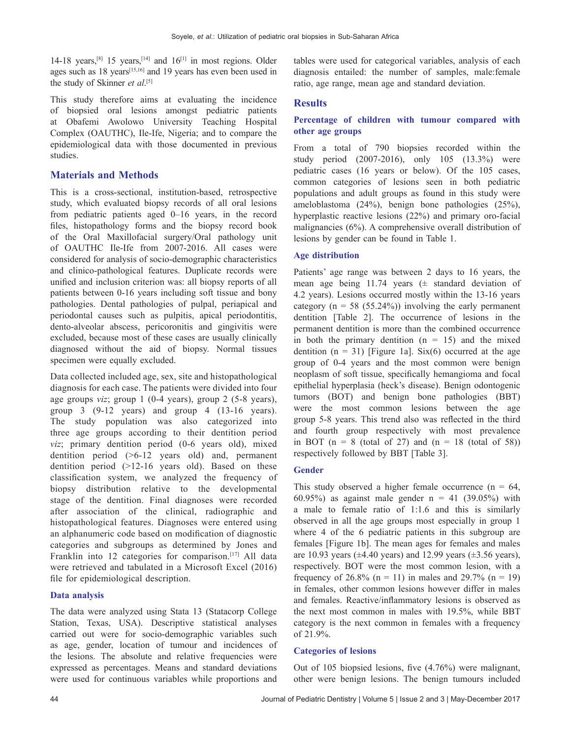14-18 years,<sup>[8]</sup> 15 years,<sup>[14]</sup> and  $16$ <sup>[1]</sup> in most regions. Older ages such as 18 years[15,16] and 19 years has even been used in the study of Skinner *et al*. [5]

This study therefore aims at evaluating the incidence of biopsied oral lesions amongst pediatric patients at Obafemi Awolowo University Teaching Hospital Complex (OAUTHC), Ile‑Ife, Nigeria; and to compare the epidemiological data with those documented in previous studies.

## **Materials and Methods**

This is a cross-sectional, institution-based, retrospective study, which evaluated biopsy records of all oral lesions from pediatric patients aged 0–16 years, in the record files, histopathology forms and the biopsy record book of the Oral Maxillofacial surgery/Oral pathology unit of OAUTHC Ile-Ife from 2007-2016. All cases were considered for analysis of socio‑demographic characteristics and clinico‑pathological features. Duplicate records were unified and inclusion criterion was: all biopsy reports of all patients between 0‑16 years including soft tissue and bony pathologies. Dental pathologies of pulpal, periapical and periodontal causes such as pulpitis, apical periodontitis, dento-alveolar abscess, pericoronitis and gingivitis were excluded, because most of these cases are usually clinically diagnosed without the aid of biopsy. Normal tissues specimen were equally excluded.

Data collected included age, sex, site and histopathological diagnosis for each case. The patients were divided into four age groups *viz*; group 1 (0‑4 years), group 2 (5‑8 years), group  $3 \left(9-12 \right)$  years) and group  $4 \left(13-16 \right)$  years). The study population was also categorized into three age groups according to their dentition period *viz*; primary dentition period (0‑6 years old), mixed dentition period  $(>6-12$  years old) and, permanent dentition period  $(>12-16$  years old). Based on these classification system, we analyzed the frequency of biopsy distribution relative to the developmental stage of the dentition. Final diagnoses were recorded after association of the clinical, radiographic and histopathological features. Diagnoses were entered using an alphanumeric code based on modification of diagnostic categories and subgroups as determined by Jones and Franklin into 12 categories for comparison.<sup>[17]</sup> All data were retrieved and tabulated in a Microsoft Excel (2016) file for epidemiological description.

## **Data analysis**

The data were analyzed using Stata 13 (Statacorp College Station, Texas, USA). Descriptive statistical analyses carried out were for socio-demographic variables such as age, gender, location of tumour and incidences of the lesions. The absolute and relative frequencies were expressed as percentages. Means and standard deviations were used for continuous variables while proportions and

tables were used for categorical variables, analysis of each diagnosis entailed: the number of samples, male:female ratio, age range, mean age and standard deviation.

## **Results**

### **Percentage of children with tumour compared with other age groups**

From a total of 790 biopsies recorded within the study period (2007-2016), only 105 (13.3%) were pediatric cases (16 years or below). Of the 105 cases, common categories of lesions seen in both pediatric populations and adult groups as found in this study were ameloblastoma (24%), benign bone pathologies (25%), hyperplastic reactive lesions (22%) and primary oro-facial malignancies (6%). A comprehensive overall distribution of lesions by gender can be found in Table 1.

#### **Age distribution**

Patients' age range was between 2 days to 16 years, the mean age being 11.74 years  $(\pm$  standard deviation of 4.2 years). Lesions occurred mostly within the 13‑16 years category ( $n = 58$  (55.24%)) involving the early permanent dentition [Table 2]. The occurrence of lesions in the permanent dentition is more than the combined occurrence in both the primary dentition  $(n = 15)$  and the mixed dentition  $(n = 31)$  [Figure 1a]. Six(6) occurred at the age group of 0‑4 years and the most common were benign neoplasm of soft tissue, specifically hemangioma and focal epithelial hyperplasia (heck's disease). Benign odontogenic tumors (BOT) and benign bone pathologies (BBT) were the most common lesions between the age group 5‑8 years. This trend also was reflected in the third and fourth group respectively with most prevalence in BOT ( $n = 8$  (total of 27) and ( $n = 18$  (total of 58)) respectively followed by BBT [Table 3].

## **Gender**

This study observed a higher female occurrence ( $n = 64$ , 60.95%) as against male gender  $n = 41$  (39.05%) with a male to female ratio of 1:1.6 and this is similarly observed in all the age groups most especially in group 1 where 4 of the 6 pediatric patients in this subgroup are females [Figure 1b]. The mean ages for females and males are 10.93 years ( $\pm$ 4.40 years) and 12.99 years ( $\pm$ 3.56 years), respectively. BOT were the most common lesion, with a frequency of 26.8% (n = 11) in males and 29.7% (n = 19) in females, other common lesions however differ in males and females. Reactive/inflammatory lesions is observed as the next most common in males with 19.5%, while BBT category is the next common in females with a frequency of 21.9%.

#### **Categories of lesions**

Out of 105 biopsied lesions, five (4.76%) were malignant, other were benign lesions. The benign tumours included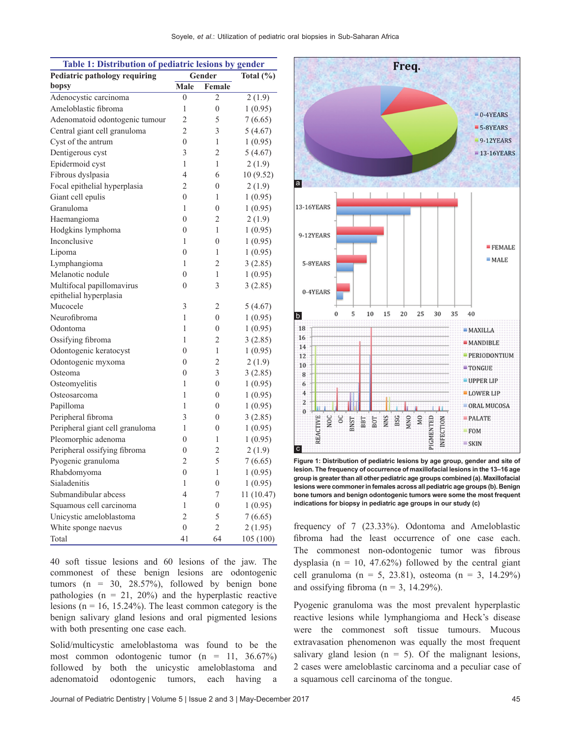| Table 1: Distribution of pediatric lesions by gender |                  |                  |               |  |  |
|------------------------------------------------------|------------------|------------------|---------------|--|--|
| <b>Pediatric pathology requiring</b>                 |                  | Gender           | Total $(\% )$ |  |  |
| bopsy                                                | Male             | Female           |               |  |  |
| Adenocystic carcinoma                                | 0                | 2                | 2(1.9)        |  |  |
| Ameloblastic fibroma                                 | 1                | $\overline{0}$   | 1(0.95)       |  |  |
| Adenomatoid odontogenic tumour                       | $\overline{c}$   | 5                | 7(6.65)       |  |  |
| Central giant cell granuloma                         | $\overline{2}$   | 3                | 5 (4.67)      |  |  |
| Cyst of the antrum                                   | $\overline{0}$   | 1                | 1(0.95)       |  |  |
| Dentigerous cyst                                     | 3                | $\overline{2}$   | 5(4.67)       |  |  |
| Epidermoid cyst                                      | 1                | 1                | 2(1.9)        |  |  |
| Fibrous dyslpasia                                    | $\overline{4}$   | 6                | 10 (9.52)     |  |  |
| Focal epithelial hyperplasia                         | $\overline{c}$   | $\overline{0}$   | 2(1.9)        |  |  |
| Giant cell epulis                                    | $\overline{0}$   | 1                | 1(0.95)       |  |  |
| Granuloma                                            | 1                | $\overline{0}$   | 1(0.95)       |  |  |
| Haemangioma                                          | $\overline{0}$   | 2                | 2(1.9)        |  |  |
| Hodgkins lymphoma                                    | 0                | 1                | 1(0.95)       |  |  |
| Inconclusive                                         | 1                | $\overline{0}$   | 1(0.95)       |  |  |
| Lipoma                                               | $\overline{0}$   | 1                | 1(0.95)       |  |  |
| Lymphangioma                                         | 1                | 2                | 3(2.85)       |  |  |
| Melanotic nodule                                     | $\overline{0}$   | 1                | 1(0.95)       |  |  |
| Multifocal papillomavirus                            | $\boldsymbol{0}$ | 3                | 3(2.85)       |  |  |
| epithelial hyperplasia                               |                  |                  |               |  |  |
| Mucocele                                             | 3                | 2                | 5(4.67)       |  |  |
| Neurofibroma                                         | 1                | $\boldsymbol{0}$ | 1(0.95)       |  |  |
| Odontoma                                             | 1                | $\overline{0}$   | 1(0.95)       |  |  |
| Ossifying fibroma                                    | 1                | $\overline{2}$   | 3(2.85)       |  |  |
| Odontogenic keratocyst                               | $\overline{0}$   | 1                | 1(0.95)       |  |  |
| Odontogenic myxoma                                   | $\overline{0}$   | 2                | 2(1.9)        |  |  |
| Osteoma                                              | 0                | 3                | 3(2.85)       |  |  |
| Osteomyelitis                                        | 1                | $\overline{0}$   | 1(0.95)       |  |  |
| Osteosarcoma                                         | 1                | $\boldsymbol{0}$ | 1(0.95)       |  |  |
| Papilloma                                            | 1                | 0                | 1(0.95)       |  |  |
| Peripheral fibroma                                   | 3                | $\overline{0}$   | 3(2.85)       |  |  |
| Peripheral giant cell granuloma                      | 1                | $\overline{0}$   | 1(0.95)       |  |  |
| Pleomorphic adenoma                                  | 0                | 1                | 1(0.95)       |  |  |
| Peripheral ossifying fibroma                         | 0                | 2                | 2(1.9)        |  |  |
| Pyogenic granuloma                                   | $\overline{2}$   | 5                | 7(6.65)       |  |  |
| Rhabdomyoma                                          | $\theta$         | 1                | 1(0.95)       |  |  |
| Sialadenitis                                         | 1                | $\overline{0}$   | 1(0.95)       |  |  |
| Submandibular abcess                                 | 4                | 7                | 11 (10.47)    |  |  |
| Squamous cell carcinoma                              | 1                | $\overline{0}$   | 1(0.95)       |  |  |
| Unicystic ameloblastoma                              | $\overline{2}$   | 5                | 7(6.65)       |  |  |
| White sponge naevus                                  | $\overline{0}$   | $\overline{2}$   | 2 (1.95)      |  |  |
| Total                                                | 41               | 64               | 105 (100)     |  |  |

40 soft tissue lesions and 60 lesions of the jaw. The commonest of these benign lesions are odontogenic tumors ( $n = 30$ , 28.57%), followed by benign bone pathologies ( $n = 21$ , 20%) and the hyperplastic reactive lesions ( $n = 16$ , 15.24%). The least common category is the benign salivary gland lesions and oral pigmented lesions with both presenting one case each.

Solid/multicystic ameloblastoma was found to be the most common odontogenic tumor (n = 11, 36.67%) followed by both the unicystic ameloblastoma and adenomatoid odontogenic tumors, each having a



Freq.

**Figure 1: Distribution of pediatric lesions by age group, gender and site of lesion. The frequency of occurrence of maxillofacial lesions in the 13–16 age group is greater than all other pediatric age groups combined (a). Maxillofacial lesions were commoner in females across all pediatric age groups (b). Benign bone tumors and benign odontogenic tumors were some the most frequent indications for biopsy in pediatric age groups in our study (c)**

frequency of 7 (23.33%). Odontoma and Ameloblastic fibroma had the least occurrence of one case each. The commonest non-odontogenic tumor was fibrous dysplasia ( $n = 10$ , 47.62%) followed by the central giant cell granuloma (n = 5, 23.81), osteoma (n = 3, 14.29%) and ossifying fibroma ( $n = 3$ , 14.29%).

Pyogenic granuloma was the most prevalent hyperplastic reactive lesions while lymphangioma and Heck's disease were the commonest soft tissue tumours. Mucous extravasation phenomenon was equally the most frequent salivary gland lesion  $(n = 5)$ . Of the malignant lesions, 2 cases were ameloblastic carcinoma and a peculiar case of a squamous cell carcinoma of the tongue.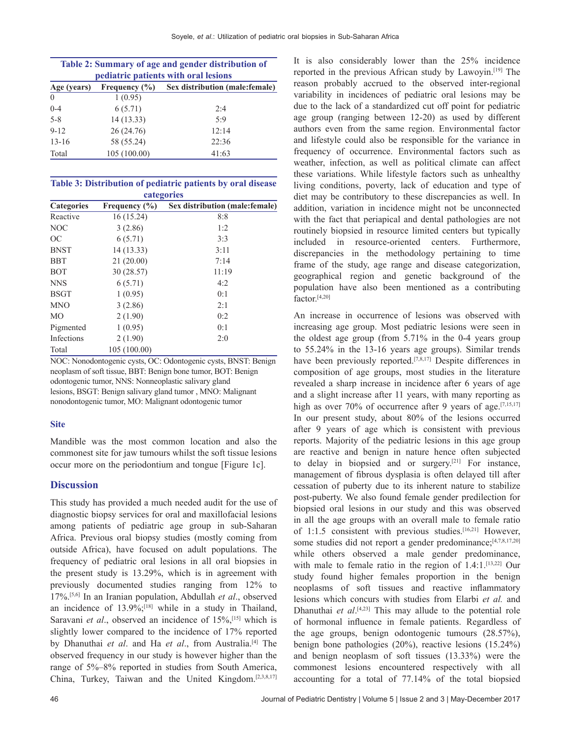| Table 2: Summary of age and gender distribution of<br>pediatric patients with oral lesions |                   |                                 |  |
|--------------------------------------------------------------------------------------------|-------------------|---------------------------------|--|
| Age (years)                                                                                | Frequency $(\% )$ | Sex distribution (male: female) |  |
| $\theta$                                                                                   | 1(0.95)           |                                 |  |
| $0 - 4$                                                                                    | 6(5.71)           | 2.4                             |  |
| $5 - 8$                                                                                    | 14(13.33)         | 5:9                             |  |
| $9 - 12$                                                                                   | 26(24.76)         | 12:14                           |  |
| $13 - 16$                                                                                  | 58 (55.24)        | 22:36                           |  |
| Total                                                                                      | 105 (100.00)      | 41:63                           |  |

| Table 3: Distribution of pediatric patients by oral disease |  |  |  |  |
|-------------------------------------------------------------|--|--|--|--|
| categories                                                  |  |  |  |  |

| Categories    | Frequency $(\% )$ | o<br>Sex distribution (male: female) |
|---------------|-------------------|--------------------------------------|
| Reactive      | 16 (15.24)        | 8:8                                  |
| <b>NOC</b>    | 3(2.86)           | 1:2                                  |
| <sub>OC</sub> | 6(5.71)           | 3:3                                  |
| <b>BNST</b>   | 14 (13.33)        | 3:11                                 |
| <b>BBT</b>    | 21(20.00)         | 7:14                                 |
| <b>BOT</b>    | 30 (28.57)        | 11:19                                |
| <b>NNS</b>    | 6(5.71)           | 4:2                                  |
| <b>BSGT</b>   | 1(0.95)           | 0:1                                  |
| <b>MNO</b>    | 3(2.86)           | 2:1                                  |
| MO            | 2(1.90)           | 0:2                                  |
| Pigmented     | 1(0.95)           | 0:1                                  |
| Infections    | 2(1.90)           | 2:0                                  |
| Total         | 105 (100.00)      |                                      |

NOC: Nonodontogenic cysts, OC: Odontogenic cysts, BNST: Benign neoplasm of soft tissue, BBT: Benign bone tumor, BOT: Benign odontogenic tumor, NNS: Nonneoplastic salivary gland lesions, BSGT: Benign salivary gland tumor , MNO: Malignant nonodontogenic tumor, MO: Malignant odontogenic tumor

#### **Site**

Mandible was the most common location and also the commonest site for jaw tumours whilst the soft tissue lesions occur more on the periodontium and tongue [Figure 1c].

## **Discussion**

This study has provided a much needed audit for the use of diagnostic biopsy services for oral and maxillofacial lesions among patients of pediatric age group in sub‑Saharan Africa. Previous oral biopsy studies (mostly coming from outside Africa), have focused on adult populations. The frequency of pediatric oral lesions in all oral biopsies in the present study is 13.29%, which is in agreement with previously documented studies ranging from 12% to 17%.[5,6] In an Iranian population, Abdullah *et al*., observed an incidence of  $13.9\%$ ;<sup>[18]</sup> while in a study in Thailand, Saravani *et al.*, observed an incidence of 15%,<sup>[15]</sup> which is slightly lower compared to the incidence of 17% reported by Dhanuthai *et al*. and Ha *et al*., from Australia.[4] The observed frequency in our study is however higher than the range of 5%–8% reported in studies from South America, China, Turkey, Taiwan and the United Kingdom.[2,3,8,17] It is also considerably lower than the 25% incidence reported in the previous African study by Lawoyin.[19] The reason probably accrued to the observed inter-regional variability in incidences of pediatric oral lesions may be due to the lack of a standardized cut off point for pediatric age group (ranging between 12‑20) as used by different authors even from the same region. Environmental factor and lifestyle could also be responsible for the variance in frequency of occurrence. Environmental factors such as weather, infection, as well as political climate can affect these variations. While lifestyle factors such as unhealthy living conditions, poverty, lack of education and type of diet may be contributory to these discrepancies as well. In addition, variation in incidence might not be unconnected with the fact that periapical and dental pathologies are not routinely biopsied in resource limited centers but typically included in resource-oriented centers. Furthermore, discrepancies in the methodology pertaining to time frame of the study, age range and disease categorization, geographical region and genetic background of the population have also been mentioned as a contributing factor.<sup>[4,20]</sup>

An increase in occurrence of lesions was observed with increasing age group. Most pediatric lesions were seen in the oldest age group (from  $5.71\%$  in the 0-4 years group to 55.24% in the 13-16 years age groups). Similar trends have been previously reported.<sup>[7,8,17]</sup> Despite differences in composition of age groups, most studies in the literature revealed a sharp increase in incidence after 6 years of age and a slight increase after 11 years, with many reporting as high as over 70% of occurrence after 9 years of age.<sup>[7,15,17]</sup> In our present study, about 80% of the lesions occurred after 9 years of age which is consistent with previous reports. Majority of the pediatric lesions in this age group are reactive and benign in nature hence often subjected to delay in biopsied and or surgery.[21] For instance, management of fibrous dysplasia is often delayed till after cessation of puberty due to its inherent nature to stabilize post‑puberty. We also found female gender predilection for biopsied oral lesions in our study and this was observed in all the age groups with an overall male to female ratio of 1:1.5 consistent with previous studies.[16,21] However, some studies did not report a gender predominance;[4,7,8,17,20] while others observed a male gender predominance, with male to female ratio in the region of 1.4:1.[13,22] Our study found higher females proportion in the benign neoplasms of soft tissues and reactive inflammatory lesions which concurs with studies from Elarbi *et al.* and Dhanuthai *et al*. [4,23] This may allude to the potential role of hormonal influence in female patients. Regardless of the age groups, benign odontogenic tumours (28.57%), benign bone pathologies (20%), reactive lesions (15.24%) and benign neoplasm of soft tissues (13.33%) were the commonest lesions encountered respectively with all accounting for a total of 77.14% of the total biopsied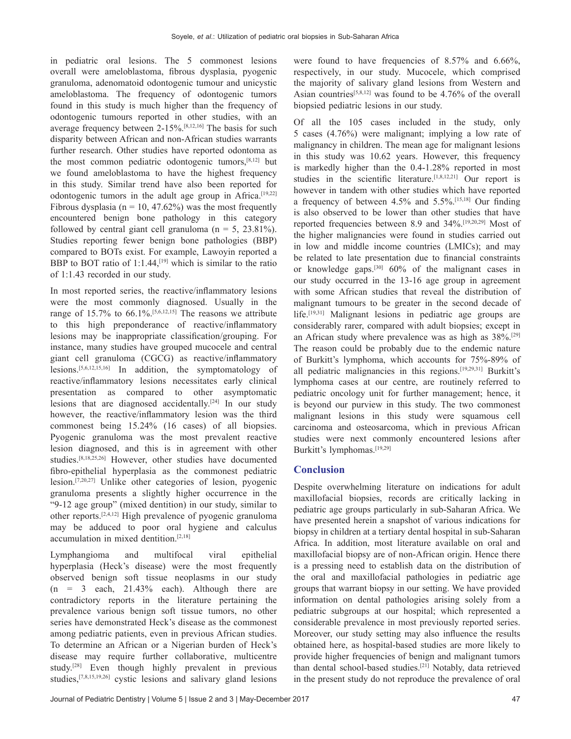in pediatric oral lesions. The 5 commonest lesions overall were ameloblastoma, fibrous dysplasia, pyogenic granuloma, adenomatoid odontogenic tumour and unicystic ameloblastoma. The frequency of odontogenic tumors found in this study is much higher than the frequency of odontogenic tumours reported in other studies, with an average frequency between 2‑15%.[8,12,16] The basis for such disparity between African and non‑African studies warrants further research. Other studies have reported odontoma as the most common pediatric odontogenic tumors,[8,12] but we found ameloblastoma to have the highest frequency in this study. Similar trend have also been reported for odontogenic tumors in the adult age group in Africa.<sup>[19,22]</sup> Fibrous dysplasia ( $n = 10, 47.62\%$ ) was the most frequently encountered benign bone pathology in this category followed by central giant cell granuloma ( $n = 5$ , 23.81%). Studies reporting fewer benign bone pathologies (BBP) compared to BOTs exist. For example, Lawoyin reported a BBP to BOT ratio of 1:1.44, $[19]$  which is similar to the ratio of 1:1.43 recorded in our study.

In most reported series, the reactive/inflammatory lesions were the most commonly diagnosed. Usually in the range of  $15.7\%$  to  $66.1\%$ .<sup>[5,6,12,15]</sup> The reasons we attribute to this high preponderance of reactive/inflammatory lesions may be inappropriate classification/grouping. For instance, many studies have grouped mucocele and central giant cell granuloma (CGCG) as reactive/inflammatory lesions.[5,6,12,15,16] In addition, the symptomatology of reactive/inflammatory lesions necessitates early clinical presentation as compared to other asymptomatic lesions that are diagnosed accidentally.<sup>[24]</sup> In our study however, the reactive/inflammatory lesion was the third commonest being 15.24% (16 cases) of all biopsies. Pyogenic granuloma was the most prevalent reactive lesion diagnosed, and this is in agreement with other studies.[8,18,25,26] However, other studies have documented fibro-epithelial hyperplasia as the commonest pediatric lesion.[7,20,27] Unlike other categories of lesion, pyogenic granuloma presents a slightly higher occurrence in the "9‑12 age group" (mixed dentition) in our study, similar to other reports.[2,4,12] High prevalence of pyogenic granuloma may be adduced to poor oral hygiene and calculus accumulation in mixed dentition.[2,18]

Lymphangioma and multifocal viral epithelial hyperplasia (Heck's disease) were the most frequently observed benign soft tissue neoplasms in our study  $(n = 3$  each,  $21.43\%$  each). Although there are contradictory reports in the literature pertaining the prevalence various benign soft tissue tumors, no other series have demonstrated Heck's disease as the commonest among pediatric patients, even in previous African studies. To determine an African or a Nigerian burden of Heck's disease may require further collaborative, multicentre study.[28] Even though highly prevalent in previous studies,[7,8,15,19,26] cystic lesions and salivary gland lesions

were found to have frequencies of 8.57% and 6.66%, respectively, in our study. Mucocele, which comprised the majority of salivary gland lesions from Western and Asian countries<sup>[5,8,12]</sup> was found to be  $4.76\%$  of the overall biopsied pediatric lesions in our study.

Of all the 105 cases included in the study, only 5 cases (4.76%) were malignant; implying a low rate of malignancy in children. The mean age for malignant lesions in this study was 10.62 years. However, this frequency is markedly higher than the 0.4-1.28% reported in most studies in the scientific literature.<sup>[1,8,12,21]</sup> Our report is however in tandem with other studies which have reported a frequency of between 4.5% and 5.5%.[15,18] Our finding is also observed to be lower than other studies that have reported frequencies between 8.9 and 34%.[19,20,29] Most of the higher malignancies were found in studies carried out in low and middle income countries (LMICs); and may be related to late presentation due to financial constraints or knowledge gaps.<sup>[30]</sup>  $60\%$  of the malignant cases in our study occurred in the 13‑16 age group in agreement with some African studies that reveal the distribution of malignant tumours to be greater in the second decade of life.[19,31] Malignant lesions in pediatric age groups are considerably rarer, compared with adult biopsies; except in an African study where prevalence was as high as 38%.[29] The reason could be probably due to the endemic nature of Burkitt's lymphoma, which accounts for 75%‑89% of all pediatric malignancies in this regions.[19,29,31] Burkitt's lymphoma cases at our centre, are routinely referred to pediatric oncology unit for further management; hence, it is beyond our purview in this study. The two commonest malignant lesions in this study were squamous cell carcinoma and osteosarcoma, which in previous African studies were next commonly encountered lesions after Burkitt's lymphomas.[19,29]

## **Conclusion**

Despite overwhelming literature on indications for adult maxillofacial biopsies, records are critically lacking in pediatric age groups particularly in sub‑Saharan Africa. We have presented herein a snapshot of various indications for biopsy in children at a tertiary dental hospital in sub-Saharan Africa. In addition, most literature available on oral and maxillofacial biopsy are of non‑African origin. Hence there is a pressing need to establish data on the distribution of the oral and maxillofacial pathologies in pediatric age groups that warrant biopsy in our setting. We have provided information on dental pathologies arising solely from a pediatric subgroups at our hospital; which represented a considerable prevalence in most previously reported series. Moreover, our study setting may also influence the results obtained here, as hospital‑based studies are more likely to provide higher frequencies of benign and malignant tumors than dental school-based studies.<sup>[21]</sup> Notably, data retrieved in the present study do not reproduce the prevalence of oral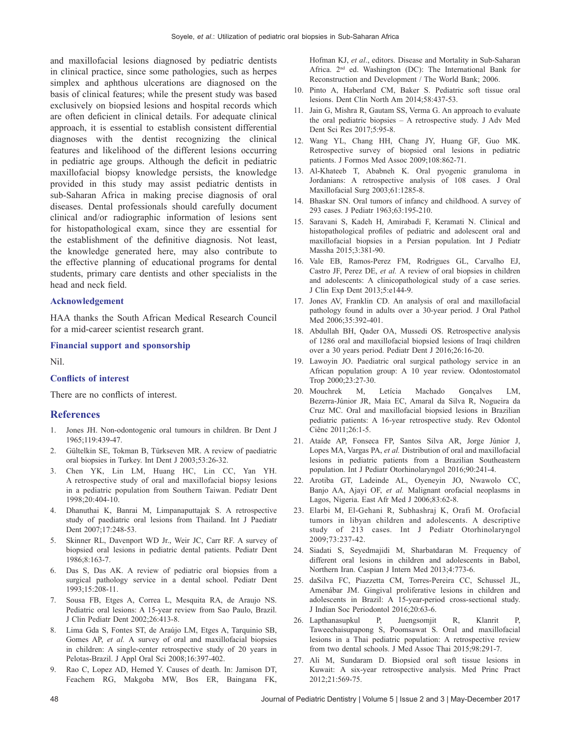and maxillofacial lesions diagnosed by pediatric dentists in clinical practice, since some pathologies, such as herpes simplex and aphthous ulcerations are diagnosed on the basis of clinical features; while the present study was based exclusively on biopsied lesions and hospital records which are often deficient in clinical details. For adequate clinical approach, it is essential to establish consistent differential diagnoses with the dentist recognizing the clinical features and likelihood of the different lesions occurring in pediatric age groups. Although the deficit in pediatric maxillofacial biopsy knowledge persists, the knowledge provided in this study may assist pediatric dentists in sub‑Saharan Africa in making precise diagnosis of oral diseases. Dental professionals should carefully document clinical and/or radiographic information of lesions sent for histopathological exam, since they are essential for the establishment of the definitive diagnosis. Not least, the knowledge generated here, may also contribute to the effective planning of educational programs for dental students, primary care dentists and other specialists in the head and neck field.

#### **Acknowledgement**

HAA thanks the South African Medical Research Council for a mid‑career scientist research grant.

#### **Financial support and sponsorship**

Nil.

#### **Conflicts of interest**

There are no conflicts of interest.

#### **References**

- 1. Jones JH. Non-odontogenic oral tumours in children. Br Dent J 1965;119:439‑47.
- 2. Gültelkin SE, Tokman B, Türkseven MR. A review of paediatric oral biopsies in Turkey. Int Dent J 2003;53:26‑32.
- 3. Chen YK, Lin LM, Huang HC, Lin CC, Yan YH. A retrospective study of oral and maxillofacial biopsy lesions in a pediatric population from Southern Taiwan. Pediatr Dent 1998;20:404‑10.
- 4. Dhanuthai K, Banrai M, Limpanaputtajak S. A retrospective study of paediatric oral lesions from Thailand. Int J Paediatr Dent 2007;17:248-53.
- 5. Skinner RL, Davenport WD Jr., Weir JC, Carr RF. A survey of biopsied oral lesions in pediatric dental patients. Pediatr Dent 1986;8:163‑7.
- 6. Das S, Das AK. A review of pediatric oral biopsies from a surgical pathology service in a dental school. Pediatr Dent 1993;15:208‑11.
- 7. Sousa FB, Etges A, Correa L, Mesquita RA, de Araujo NS. Pediatric oral lesions: A 15‑year review from Sao Paulo, Brazil. J Clin Pediatr Dent 2002;26:413‑8.
- Lima Gda S, Fontes ST, de Araújo LM, Etges A, Tarquinio SB, Gomes AP, *et al.* A survey of oral and maxillofacial biopsies in children: A single-center retrospective study of 20 years in Pelotas-Brazil. J Appl Oral Sci 2008;16:397-402.
- Rao C, Lopez AD, Hemed Y. Causes of death. In: Jamison DT, Feachem RG, Makgoba MW, Bos ER, Baingana FK,

Hofman KJ, et al., editors. Disease and Mortality in Sub-Saharan Africa. 2nd ed. Washington (DC): The International Bank for Reconstruction and Development / The World Bank; 2006.

- 10. Pinto A, Haberland CM, Baker S. Pediatric soft tissue oral lesions. Dent Clin North Am 2014;58:437‑53.
- 11. Jain G, Mishra R, Gautam SS, Verma G. An approach to evaluate the oral pediatric biopsies – A retrospective study. J Adv Med Dent Sci Res 2017;5:95‑8.
- 12. Wang YL, Chang HH, Chang JY, Huang GF, Guo MK. Retrospective survey of biopsied oral lesions in pediatric patients. J Formos Med Assoc 2009;108:862-71.
- 13. Al‑Khateeb T, Ababneh K. Oral pyogenic granuloma in Jordanians: A retrospective analysis of 108 cases. J Oral Maxillofacial Surg 2003;61:1285‑8.
- 14. Bhaskar SN. Oral tumors of infancy and childhood. A survey of 293 cases. J Pediatr 1963;63:195‑210.
- 15. Saravani S, Kadeh H, Amirabadi F, Keramati N. Clinical and histopathological profiles of pediatric and adolescent oral and maxillofacial biopsies in a Persian population. Int J Pediatr Massha 2015;3:381‑90.
- 16. Vale EB, Ramos‑Perez FM, Rodrigues GL, Carvalho EJ, Castro JF, Perez DE, *et al.* A review of oral biopsies in children and adolescents: A clinicopathological study of a case series. J Clin Exp Dent 2013;5:e144‑9.
- 17. Jones AV, Franklin CD. An analysis of oral and maxillofacial pathology found in adults over a 30‑year period. J Oral Pathol Med 2006;35:392-401.
- 18. Abdullah BH, Qader OA, Mussedi OS. Retrospective analysis of 1286 oral and maxillofacial biopsied lesions of Iraqi children over a 30 years period. Pediatr Dent J 2016;26:16‑20.
- 19. Lawoyin JO. Paediatric oral surgical pathology service in an African population group: A 10 year review. Odontostomatol Trop 2000;23:27‑30.
- 20. Mouchrek M, Letícia Machado Gonçalves LM, Bezerra‑Júnior JR, Maia EC, Amaral da Silva R, Nogueira da Cruz MC. Oral and maxillofacial biopsied lesions in Brazilian pediatric patients: A 16‑year retrospective study. Rev Odontol Ciênc 2011;26:1‑5.
- 21. Ataíde AP, Fonseca FP, Santos Silva AR, Jorge Júnior J, Lopes MA, Vargas PA, *et al.* Distribution of oral and maxillofacial lesions in pediatric patients from a Brazilian Southeastern population. Int J Pediatr Otorhinolaryngol 2016;90:241‑4.
- 22. Arotiba GT, Ladeinde AL, Oyeneyin JO, Nwawolo CC, Banjo AA, Ajayi OF, *et al.* Malignant orofacial neoplasms in Lagos, Nigeria. East Afr Med J 2006;83:62‑8.
- 23. Elarbi M, El‑Gehani R, Subhashraj K, Orafi M. Orofacial tumors in libyan children and adolescents. A descriptive study of 213 cases. Int J Pediatr Otorhinolaryngol 2009;73:237‑42.
- 24. Siadati S, Seyedmajidi M, Sharbatdaran M. Frequency of different oral lesions in children and adolescents in Babol, Northern Iran. Caspian J Intern Med 2013;4:773‑6.
- 25. daSilva FC, Piazzetta CM, Torres‑Pereira CC, Schussel JL, Amenábar JM. Gingival proliferative lesions in children and adolescents in Brazil: A 15‑year‑period cross‑sectional study. J Indian Soc Periodontol 2016;20:63‑6.
- 26. Lapthanasupkul P, Juengsomjit R, Klanrit P, Taweechaisupapong S, Poomsawat S. Oral and maxillofacial lesions in a Thai pediatric population: A retrospective review from two dental schools. J Med Assoc Thai 2015;98:291-7.
- 27. Ali M, Sundaram D. Biopsied oral soft tissue lesions in Kuwait: A six‑year retrospective analysis. Med Princ Pract 2012;21:569‑75.